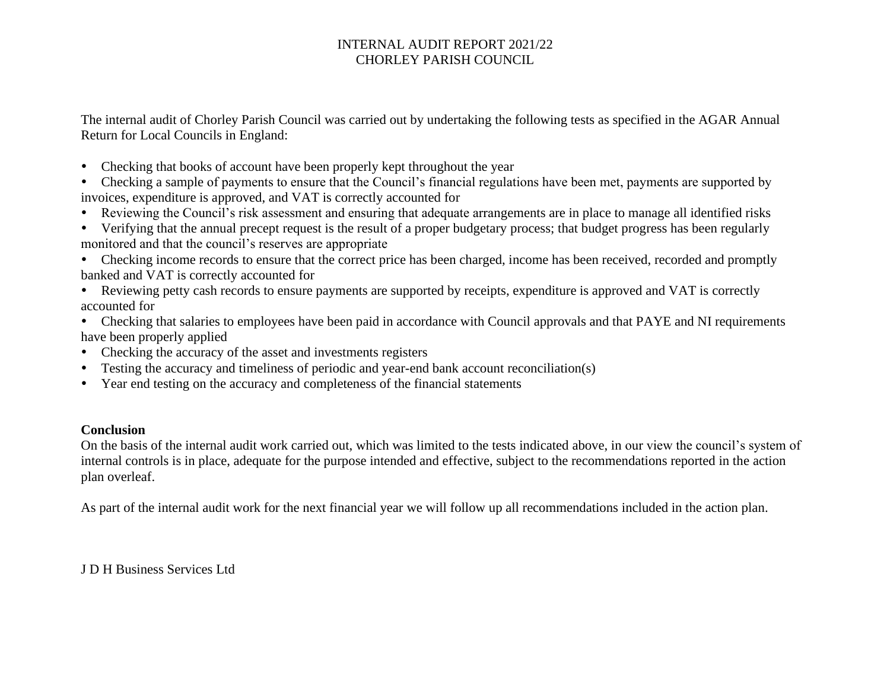The internal audit of Chorley Parish Council was carried out by undertaking the following tests as specified in the AGAR Annual Return for Local Councils in England:

- Checking that books of account have been properly kept throughout the year
- Checking a sample of payments to ensure that the Council's financial regulations have been met, payments are supported by invoices, expenditure is approved, and VAT is correctly accounted for
- Reviewing the Council's risk assessment and ensuring that adequate arrangements are in place to manage all identified risks
- Verifying that the annual precept request is the result of a proper budgetary process; that budget progress has been regularly monitored and that the council's reserves are appropriate
- Checking income records to ensure that the correct price has been charged, income has been received, recorded and promptly banked and VAT is correctly accounted for
- Reviewing petty cash records to ensure payments are supported by receipts, expenditure is approved and VAT is correctly accounted for
- Checking that salaries to employees have been paid in accordance with Council approvals and that PAYE and NI requirements have been properly applied
- Checking the accuracy of the asset and investments registers
- Testing the accuracy and timeliness of periodic and year-end bank account reconciliation(s)
- Year end testing on the accuracy and completeness of the financial statements

### **Conclusion**

On the basis of the internal audit work carried out, which was limited to the tests indicated above, in our view the council's system of internal controls is in place, adequate for the purpose intended and effective, subject to the recommendations reported in the action plan overleaf.

As part of the internal audit work for the next financial year we will follow up all recommendations included in the action plan.

J D H Business Services Ltd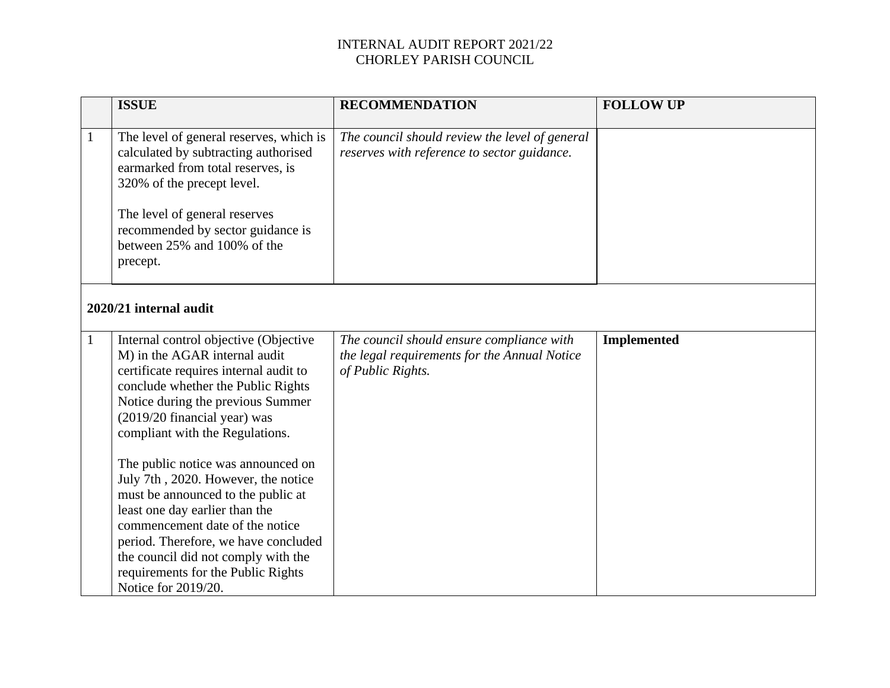|              | <b>ISSUE</b>                                                                                                                                                                                                                                                                                                                                                                                                                                                                                                                                                                                       | <b>RECOMMENDATION</b>                                                                                          | <b>FOLLOW UP</b>   |  |
|--------------|----------------------------------------------------------------------------------------------------------------------------------------------------------------------------------------------------------------------------------------------------------------------------------------------------------------------------------------------------------------------------------------------------------------------------------------------------------------------------------------------------------------------------------------------------------------------------------------------------|----------------------------------------------------------------------------------------------------------------|--------------------|--|
| $\mathbf{1}$ | The level of general reserves, which is<br>calculated by subtracting authorised<br>earmarked from total reserves, is<br>320% of the precept level.<br>The level of general reserves<br>recommended by sector guidance is<br>between 25% and 100% of the<br>precept.                                                                                                                                                                                                                                                                                                                                | The council should review the level of general<br>reserves with reference to sector guidance.                  |                    |  |
|              | 2020/21 internal audit                                                                                                                                                                                                                                                                                                                                                                                                                                                                                                                                                                             |                                                                                                                |                    |  |
| $\mathbf{1}$ | Internal control objective (Objective<br>M) in the AGAR internal audit<br>certificate requires internal audit to<br>conclude whether the Public Rights<br>Notice during the previous Summer<br>(2019/20 financial year) was<br>compliant with the Regulations.<br>The public notice was announced on<br>July 7th, 2020. However, the notice<br>must be announced to the public at<br>least one day earlier than the<br>commencement date of the notice<br>period. Therefore, we have concluded<br>the council did not comply with the<br>requirements for the Public Rights<br>Notice for 2019/20. | The council should ensure compliance with<br>the legal requirements for the Annual Notice<br>of Public Rights. | <b>Implemented</b> |  |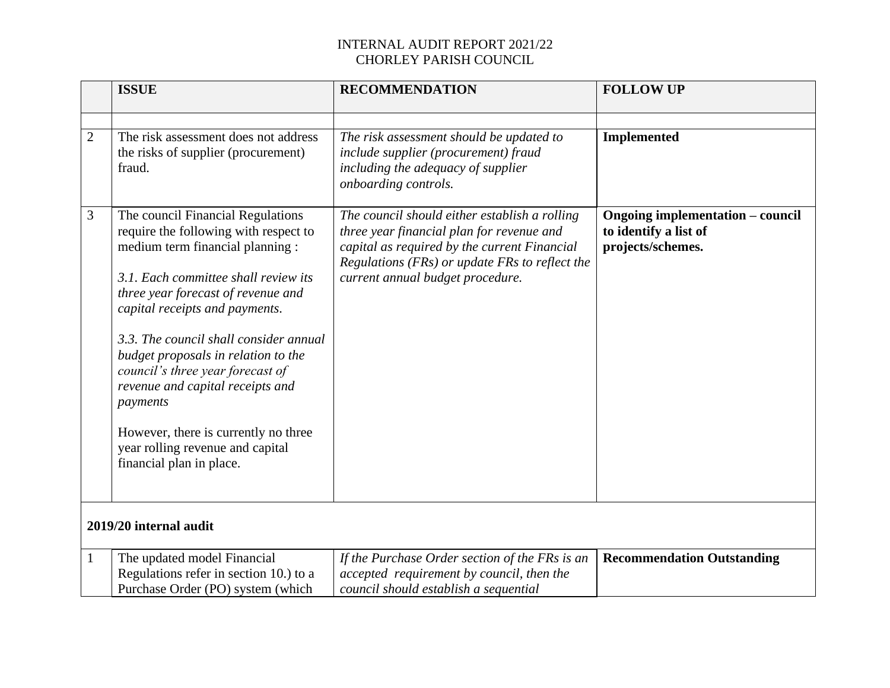|                | <b>ISSUE</b>                                                                                                                                                                                                                                                                                                                                                                                                                                                                                                | <b>RECOMMENDATION</b>                                                                                                                                                                                                            | <b>FOLLOW UP</b>                                                                      |
|----------------|-------------------------------------------------------------------------------------------------------------------------------------------------------------------------------------------------------------------------------------------------------------------------------------------------------------------------------------------------------------------------------------------------------------------------------------------------------------------------------------------------------------|----------------------------------------------------------------------------------------------------------------------------------------------------------------------------------------------------------------------------------|---------------------------------------------------------------------------------------|
| $\overline{2}$ | The risk assessment does not address<br>the risks of supplier (procurement)<br>fraud.                                                                                                                                                                                                                                                                                                                                                                                                                       | The risk assessment should be updated to<br>include supplier (procurement) fraud<br>including the adequacy of supplier<br>onboarding controls.                                                                                   | <b>Implemented</b>                                                                    |
| 3              | The council Financial Regulations<br>require the following with respect to<br>medium term financial planning :<br>3.1. Each committee shall review its<br>three year forecast of revenue and<br>capital receipts and payments.<br>3.3. The council shall consider annual<br>budget proposals in relation to the<br>council's three year forecast of<br>revenue and capital receipts and<br>payments<br>However, there is currently no three<br>year rolling revenue and capital<br>financial plan in place. | The council should either establish a rolling<br>three year financial plan for revenue and<br>capital as required by the current Financial<br>Regulations (FRs) or update FRs to reflect the<br>current annual budget procedure. | <b>Ongoing implementation - council</b><br>to identify a list of<br>projects/schemes. |
|                | 2019/20 internal audit                                                                                                                                                                                                                                                                                                                                                                                                                                                                                      |                                                                                                                                                                                                                                  |                                                                                       |
| 1              | The updated model Financial<br>Regulations refer in section 10.) to a<br>Purchase Order (PO) system (which                                                                                                                                                                                                                                                                                                                                                                                                  | If the Purchase Order section of the FRs is an<br>accepted requirement by council, then the<br>council should establish a sequential                                                                                             | <b>Recommendation Outstanding</b>                                                     |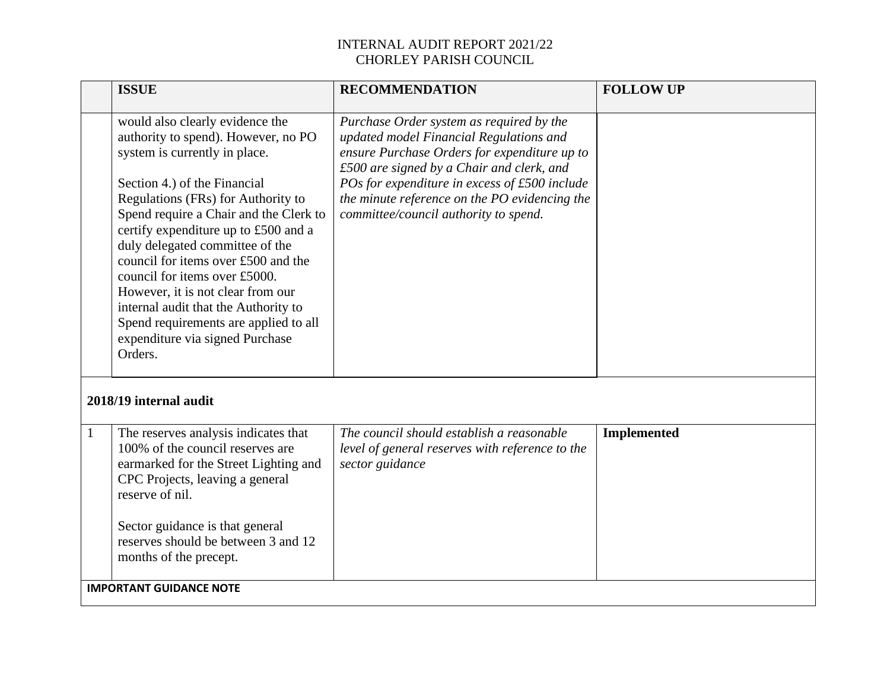|                        | <b>ISSUE</b>                                                                                                                                                                                                                                                                                                                                                                                                                                                                                                                                   | <b>RECOMMENDATION</b>                                                                                                                                                                                                                                                                                                       | <b>FOLLOW UP</b>   |  |
|------------------------|------------------------------------------------------------------------------------------------------------------------------------------------------------------------------------------------------------------------------------------------------------------------------------------------------------------------------------------------------------------------------------------------------------------------------------------------------------------------------------------------------------------------------------------------|-----------------------------------------------------------------------------------------------------------------------------------------------------------------------------------------------------------------------------------------------------------------------------------------------------------------------------|--------------------|--|
|                        | would also clearly evidence the<br>authority to spend). However, no PO<br>system is currently in place.<br>Section 4.) of the Financial<br>Regulations (FRs) for Authority to<br>Spend require a Chair and the Clerk to<br>certify expenditure up to £500 and a<br>duly delegated committee of the<br>council for items over £500 and the<br>council for items over £5000.<br>However, it is not clear from our<br>internal audit that the Authority to<br>Spend requirements are applied to all<br>expenditure via signed Purchase<br>Orders. | Purchase Order system as required by the<br>updated model Financial Regulations and<br>ensure Purchase Orders for expenditure up to<br>£500 are signed by a Chair and clerk, and<br>POs for expenditure in excess of £500 include<br>the minute reference on the PO evidencing the<br>committee/council authority to spend. |                    |  |
| 2018/19 internal audit |                                                                                                                                                                                                                                                                                                                                                                                                                                                                                                                                                |                                                                                                                                                                                                                                                                                                                             |                    |  |
| $\mathbf{1}$           | The reserves analysis indicates that<br>100% of the council reserves are<br>earmarked for the Street Lighting and<br>CPC Projects, leaving a general<br>reserve of nil.<br>Sector guidance is that general<br>reserves should be between 3 and 12<br>months of the precept.                                                                                                                                                                                                                                                                    | The council should establish a reasonable<br>level of general reserves with reference to the<br>sector guidance                                                                                                                                                                                                             | <b>Implemented</b> |  |
|                        | <b>IMPORTANT GUIDANCE NOTE</b>                                                                                                                                                                                                                                                                                                                                                                                                                                                                                                                 |                                                                                                                                                                                                                                                                                                                             |                    |  |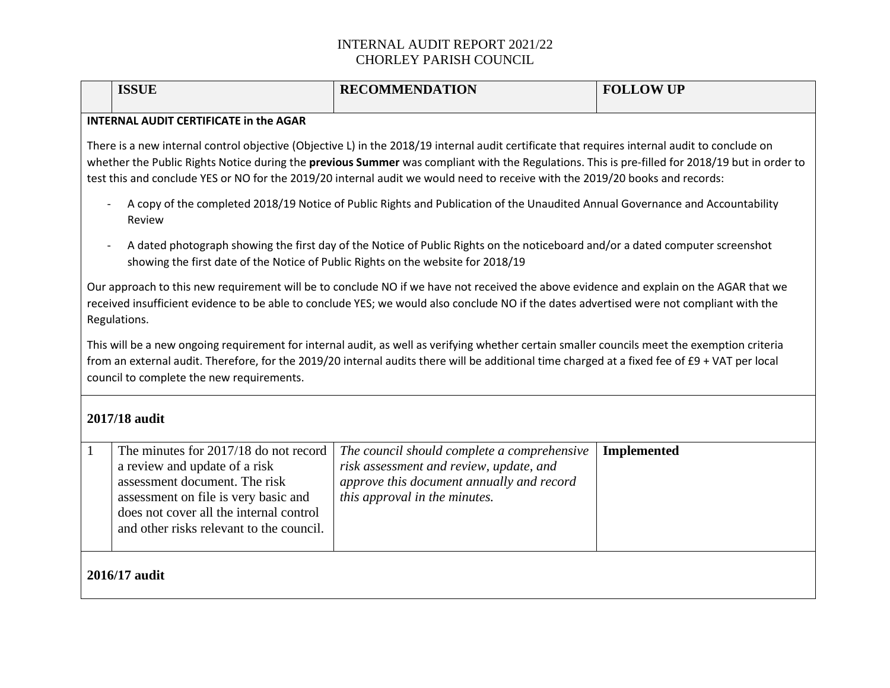|                                                                                                                                                                                                                                                                                                                                                                                                                                 | <b>ISSUE</b>                                                                                                                                                                                                                           | <b>RECOMMENDATION</b>                                                                                                                                                | <b>FOLLOW UP</b>   |
|---------------------------------------------------------------------------------------------------------------------------------------------------------------------------------------------------------------------------------------------------------------------------------------------------------------------------------------------------------------------------------------------------------------------------------|----------------------------------------------------------------------------------------------------------------------------------------------------------------------------------------------------------------------------------------|----------------------------------------------------------------------------------------------------------------------------------------------------------------------|--------------------|
|                                                                                                                                                                                                                                                                                                                                                                                                                                 | <b>INTERNAL AUDIT CERTIFICATE in the AGAR</b>                                                                                                                                                                                          |                                                                                                                                                                      |                    |
| There is a new internal control objective (Objective L) in the 2018/19 internal audit certificate that requires internal audit to conclude on<br>whether the Public Rights Notice during the previous Summer was compliant with the Regulations. This is pre-filled for 2018/19 but in order to<br>test this and conclude YES or NO for the 2019/20 internal audit we would need to receive with the 2019/20 books and records: |                                                                                                                                                                                                                                        |                                                                                                                                                                      |                    |
|                                                                                                                                                                                                                                                                                                                                                                                                                                 | A copy of the completed 2018/19 Notice of Public Rights and Publication of the Unaudited Annual Governance and Accountability<br>Review                                                                                                |                                                                                                                                                                      |                    |
|                                                                                                                                                                                                                                                                                                                                                                                                                                 | A dated photograph showing the first day of the Notice of Public Rights on the noticeboard and/or a dated computer screenshot<br>showing the first date of the Notice of Public Rights on the website for 2018/19                      |                                                                                                                                                                      |                    |
| Our approach to this new requirement will be to conclude NO if we have not received the above evidence and explain on the AGAR that we<br>received insufficient evidence to be able to conclude YES; we would also conclude NO if the dates advertised were not compliant with the<br>Regulations.                                                                                                                              |                                                                                                                                                                                                                                        |                                                                                                                                                                      |                    |
| This will be a new ongoing requirement for internal audit, as well as verifying whether certain smaller councils meet the exemption criteria<br>from an external audit. Therefore, for the 2019/20 internal audits there will be additional time charged at a fixed fee of £9 + VAT per local<br>council to complete the new requirements.                                                                                      |                                                                                                                                                                                                                                        |                                                                                                                                                                      |                    |
| 2017/18 audit                                                                                                                                                                                                                                                                                                                                                                                                                   |                                                                                                                                                                                                                                        |                                                                                                                                                                      |                    |
| $\mathbf{1}$                                                                                                                                                                                                                                                                                                                                                                                                                    | The minutes for 2017/18 do not record<br>a review and update of a risk<br>assessment document. The risk<br>assessment on file is very basic and<br>does not cover all the internal control<br>and other risks relevant to the council. | The council should complete a comprehensive<br>risk assessment and review, update, and<br>approve this document annually and record<br>this approval in the minutes. | <b>Implemented</b> |
| 2016/17 audit                                                                                                                                                                                                                                                                                                                                                                                                                   |                                                                                                                                                                                                                                        |                                                                                                                                                                      |                    |